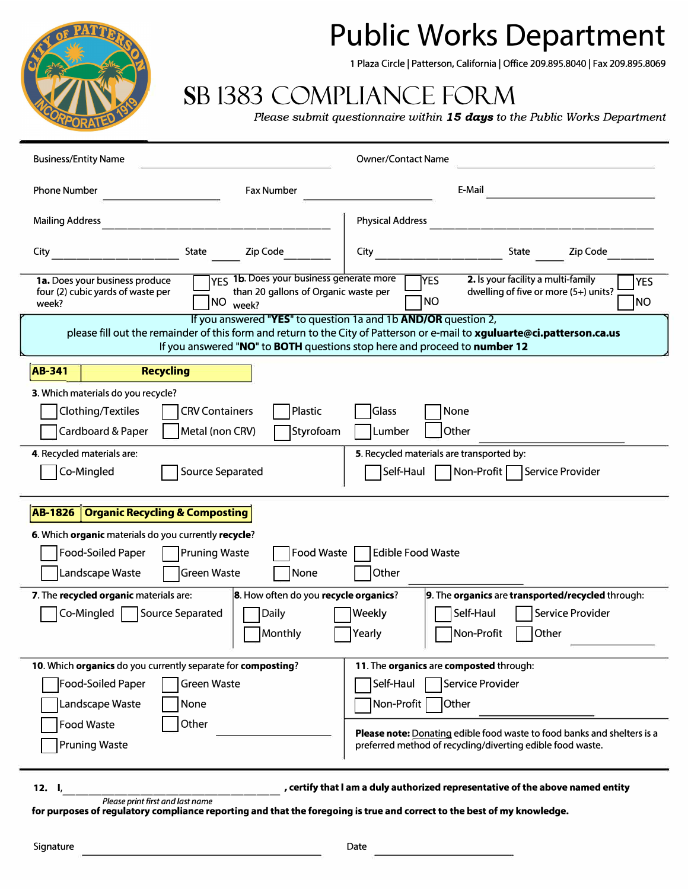# **Public Works Department**

1 Plaza Circle | Patterson, California | Office 209.895.8040 | Fax 209.895.8069

### **SB 1383 COMPLIANCE FORM**

*Please submit questionnaire within 15 days to the Public Works Department* 

| <b>Business/Entity Name</b>                                                                                                                                                                                                                                             | <b>Owner/Contact Name</b>                                                                                                                    |  |
|-------------------------------------------------------------------------------------------------------------------------------------------------------------------------------------------------------------------------------------------------------------------------|----------------------------------------------------------------------------------------------------------------------------------------------|--|
| <b>Phone Number</b><br><b>Fax Number</b>                                                                                                                                                                                                                                | E-Mail                                                                                                                                       |  |
| <b>Mailing Address</b>                                                                                                                                                                                                                                                  | <b>Physical Address</b>                                                                                                                      |  |
| <b>State</b><br>Zip Code<br>City                                                                                                                                                                                                                                        | City<br><b>State</b><br>Zip Code                                                                                                             |  |
| YES 1b. Does your business generate more<br>1a. Does your business produce<br>than 20 gallons of Organic waste per<br>four (2) cubic yards of waste per<br>NO <sub>week</sub> ?<br>week?                                                                                | 2. Is your facility a multi-family<br><b>YES</b><br><b>YES</b><br>dwelling of five or more (5+) units?<br>NO<br>N <sub>O</sub>               |  |
| If you answered "YES" to question 1a and 1b AND/OR question 2,<br>please fill out the remainder of this form and return to the City of Patterson or e-mail to xguluarte@ci.patterson.ca.us<br>If you answered "NO" to BOTH questions stop here and proceed to number 12 |                                                                                                                                              |  |
| <b>Recycling</b><br><b>AB-341</b>                                                                                                                                                                                                                                       |                                                                                                                                              |  |
| 3. Which materials do you recycle?<br>Plastic<br>Clothing/Textiles<br><b>CRV Containers</b><br>Styrofoam<br>Cardboard & Paper<br>Metal (non CRV)                                                                                                                        | Glass<br>None<br>Other<br>Lumber                                                                                                             |  |
| 4. Recycled materials are:<br>Co-Mingled<br><b>Source Separated</b>                                                                                                                                                                                                     | 5. Recycled materials are transported by:<br>Non-Profit Service Provider<br>Self-Haul                                                        |  |
| <b>Organic Recycling &amp; Composting</b><br><b>AB-1826</b>                                                                                                                                                                                                             |                                                                                                                                              |  |
| 6. Which organic materials do you currently recycle?                                                                                                                                                                                                                    |                                                                                                                                              |  |
| Food-Soiled Paper<br><b>Pruning Waste</b><br>Food Waste                                                                                                                                                                                                                 | <b>Edible Food Waste</b>                                                                                                                     |  |
| Green Waste<br>None<br>Landscape Waste                                                                                                                                                                                                                                  | Other                                                                                                                                        |  |
| 7. The recycled organic materials are:<br>8. How often do you recycle organics?                                                                                                                                                                                         | 9. The organics are transported/recycled through:                                                                                            |  |
| Daily<br>Source Separated<br>Co-Mingled                                                                                                                                                                                                                                 | Service Provider<br>Self-Haul<br>Weekly                                                                                                      |  |
| Monthly                                                                                                                                                                                                                                                                 | Non-Profit<br>Other<br>Yearly                                                                                                                |  |
| 10. Which organics do you currently separate for composting?                                                                                                                                                                                                            | 11. The organics are composted through:                                                                                                      |  |
| Food-Soiled Paper<br><b>Green Waste</b>                                                                                                                                                                                                                                 | Self-Haul<br>Service Provider                                                                                                                |  |
| Landscape Waste<br>None                                                                                                                                                                                                                                                 | Non-Profit<br>Other                                                                                                                          |  |
| Food Waste<br>Other<br><b>Pruning Waste</b>                                                                                                                                                                                                                             | <b>Please note:</b> Donating edible food waste to food banks and shelters is a<br>preferred method of recycling/diverting edible food waste. |  |
| 12. $I$<br>Please print first and last name                                                                                                                                                                                                                             | , certify that I am a duly authorized representative of the above named entity                                                               |  |



**for purposes of regulatory compliance reporting and that the foregoing is true and correct to the best of my knowledge.**